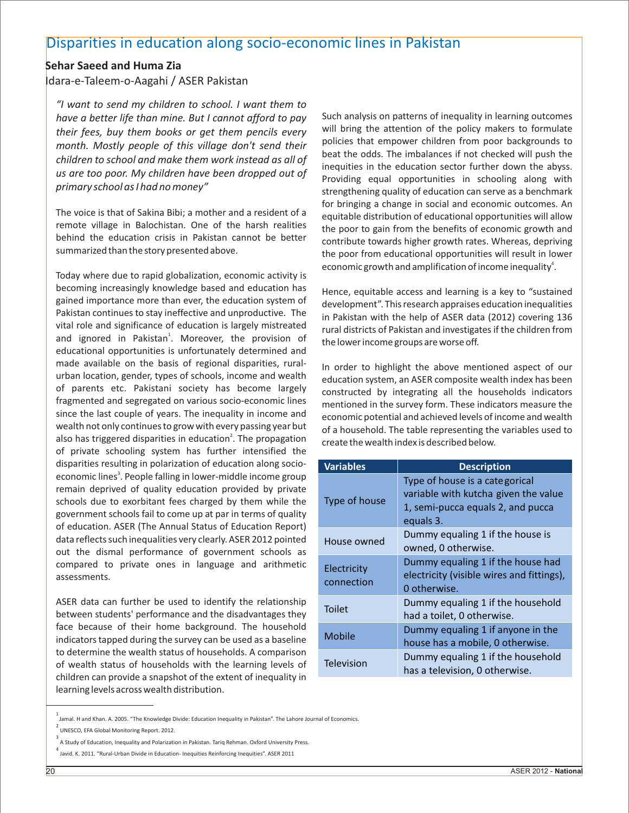## Disparities in education along socio-economic lines in Pakistan

## **Sehar Saeed and Huma Zia**

Idara-e-Taleem-o-Aagahi / ASER Pakistan

*"I want to send my children to school. I want them to have a better life than mine. But I cannot afford to pay* Such analysis on patterns of inequality in learning outcomes *their fees huy them hooks or get them nencils every* will bring the attention of the policy makers their fees, buy them books or get them pencils every the policies that ention of the policy makers to formulate<br>month, Mastly neanle of this village dan't send their policies that empower children from poor backgrounds to policies that empower children from poor backgrounds to *month. Mostly people of this village don't send their* policies that empower children from poor backgrounds to *month* beat the odds. The imbalances if not checked will push the *children to school and make them work instead as all of* inequities in the education sector further down the abyss. *us are too poor. My children have been dropped out of* Providing equal opportunities in schooling along with *primary school as I had no money"*

The voice is that of Sakina Bibi; a mother and a resident of a equitable distribution of educational opportunities will allow<br>remote village in Balochistan. One of the harsh realities the near to gain from the benefits of remote village in Balochistan. One of the harsh realities the poor to gain from the benefits of economic growth and<br>behind the education crisis in Pakistan cannot be better contribute towards birber growth rates Whereas de behind the education crisis in Pakistan cannot be better contribute towards higher growth rates. Whereas, depriving<br>summarized than the story presented above.

Today where due to rapid globalization, economic activity is becoming increasingly knowledge based and education has Hence, equitable access and learning is a key to "sustained<br>gained importance more than ever, the education system of development" This receased appraises education i gained importance more than ever, the education system of development". This research appraises education inequalities<br>Pakistan continues to stay ineffective and unproductive. The diameters with the help of ASER data (2012 Pakistan continues to stay ineffective and unproductive. The in Pakistan with the help of ASER data (2012) covering 136<br>Vital role and significance of education is largely mistreated rural districts of Pakistan and investi and ignored in Pakistan<sup>1</sup>. Moreover, the provision of educational opportunities is unfortunately determined and made available on the basis of regional disparities, rural-<br>urban location, gender, types of schools, income and wealth<br>education system an ASER composite wealth index bas been of parents etc. Pakistani society has become largely fragmented and segregated on various socio-economic lines mentioned in the survey form. These indicators measure the since the last couple of years. The inequality in income and economic potential and achieved levels of in wealth not only continues to grow with every passing year but of a household. The table representing the variables used to also has triggered disparities in education<sup>2</sup>. The propagation create the wealth index is described below. of private schooling system has further intensified the disparities resulting in polarization of education along socioeconomic lines<sup>3</sup>. People falling in lower-middle income group remain deprived of quality education provided by private schools due to exorbitant fees charged by them while the government schools fail to come up at par in terms of quality of education. ASER (The Annual Status of Education Report) data reflects such inequalities very clearly. ASER 2012 pointed out the dismal performance of government schools as compared to private ones in language and arithmetic assessments.

ASER data can further be used to identify the relationship between students' performance and the disadvantages they face because of their home background. The household indicators tapped during the survey can be used as a baseline to determine the wealth status of households. A comparison of wealth status of households with the learning levels of children can provide a snapshot of the extent of inequality in learning levels across wealth distribution.

strengthening quality of education can serve as a benchmark for bringing a change in social and economic outcomes. An the poor from educational opportunities will result in lower economic growth and amplification of income inequality<sup>4</sup>.

rural districts of Pakistan and investigates if the children from the lower income groups are worse off.

education system, an ASER composite wealth index has been constructed by integrating all the households indicators economic potential and achieved levels of income and wealth

| <b>Variables</b>          | <b>Description</b>                                                                                                       |
|---------------------------|--------------------------------------------------------------------------------------------------------------------------|
| Type of house             | Type of house is a categorical<br>variable with kutcha given the value<br>1, semi-pucca equals 2, and pucca<br>equals 3. |
| House owned               | Dummy equaling 1 if the house is<br>owned, 0 otherwise.                                                                  |
| Electricity<br>connection | Dummy equaling 1 if the house had<br>electricity (visible wires and fittings),<br>0 otherwise.                           |
| <b>Toilet</b>             | Dummy equaling 1 if the household<br>had a toilet, 0 otherwise.                                                          |
| Mobile                    | Dummy equaling 1 if anyone in the<br>house has a mobile, 0 otherwise.                                                    |
| Television                | Dummy equaling 1 if the household<br>has a television, 0 otherwise.                                                      |

<sup>1&</sup>lt;br>Jamal. H and Khan. A. 2005. "The Knowledge Divide: Education Inequality in Pakistan". The Lahore Journal of Economics.<br>2

UNESCO, EFA Global Monitoring Report. 2012.

<sup>3</sup> A Study of Education, Inequality and Polarization in Pakistan. Tariq Rehman. Oxford University Press.

<sup>4</sup> Javid. K. 2011. "Rural-Urban Divide in Education- Inequities Reinforcing Inequities". ASER 2011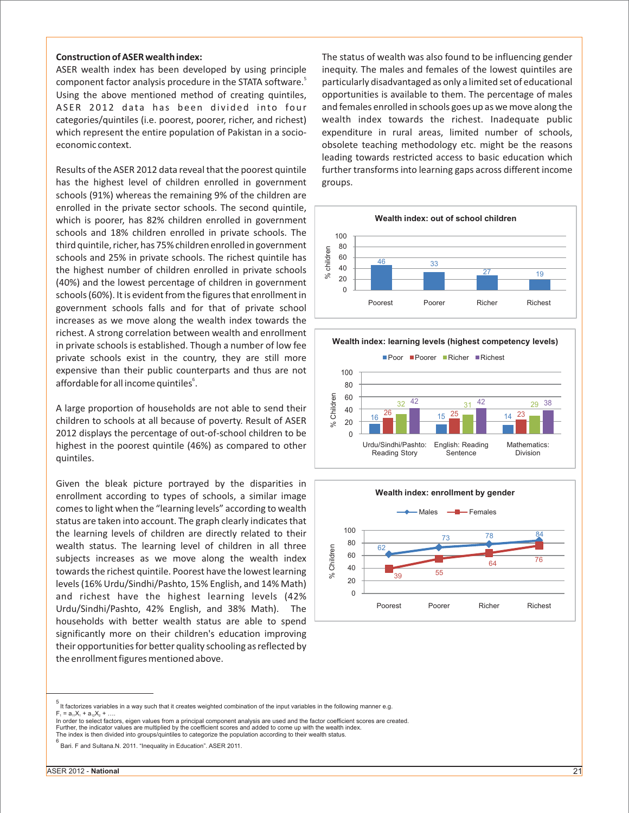has the highest level of children enrolled in government groups. schools (91%) whereas the remaining 9% of the children are enrolled in the private sector schools. The second quintile, which is poorer, has 82% children enrolled in government schools and 18% children enrolled in private schools. The third quintile, richer, has 75% children enrolled in government schools and 25% in private schools. The richest quintile has the highest number of children enrolled in private schools (40%) and the lowest percentage of children in government schools (60%). It is evident from the figures that enrollment in government schools falls and for that of private school increases as we move along the wealth index towards the richest. A strong correlation between wealth and enrollment in private schools is established. Though a number of low fee private schools exist in the country, they are still more expensive than their public counterparts and thus are not affordable for all income quintiles<sup>6</sup>.

A large proportion of households are not able to send their children to schools at all because of poverty. Result of ASER 2012 displays the percentage of out-of-school children to be highest in the poorest quintile (46%) as compared to other quintiles.

Given the bleak picture portrayed by the disparities in enrollment according to types of schools, a similar image comes to light when the "learning levels" according to wealth status are taken into account. The graph clearly indicates that the learning levels of children are directly related to their wealth status. The learning level of children in all three subjects increases as we move along the wealth index towards the richest quintile. Poorest have the lowest learning levels (16% Urdu/Sindhi/Pashto, 15% English, and 14% Math) and richest have the highest learning levels (42% Urdu/Sindhi/Pashto, 42% English, and 38% Math). The households with better wealth status are able to spend significantly more on their children's education improving their opportunities for better quality schooling as reflected by the enrollment figures mentioned above.

**Construction of ASER wealth index:** The status of wealth was also found to be influencing gender ASER wealth index has been developed by using principle inequity. The males and females of the lowest quintiles are component factor analysis procedure in the STATA software.<sup>5</sup> particularly disadvantaged as only a limited set of educational Using the above mentioned method of creating quintiles, opportunities is available to them. The percentage of males ASER 2012 data has been divided into four and females enrolled in schools goes up as we move along the categories/quintiles (i.e. poorest, poorer, richer, and richest) wealth index towards the richest. Inadequate public which represent the entire population of Pakistan in a socio-<br>expenditure in rural areas, limited number of schools, economic context. obsolete teaching methodology etc. might be the reasons leading towards restricted access to basic education which Results of the ASER 2012 data reveal that the poorest quintile further transforms into learning gaps across different income



**Wealth index: learning levels (highest competency levels)**





<sup>5</sup>  It factorizes variables in a way such that it creates weighted combination of the input variables in the following manner e.g.  $F_1 = a_1 X_1 + a_2 X_2 + ...$ 

In order to select factors, eigen values from a principal component analysis are used and the factor coefficient scores are created. Further, the indicator values are multiplied by the coefficient scores and added to come up with the wealth index.<br>The index is then divided into groups/quintiles to categorize the population according to their wealth stat

<sup>6</sup> Bari. F and Sultana.N. 2011. "Inequality in Education". ASER 2011.